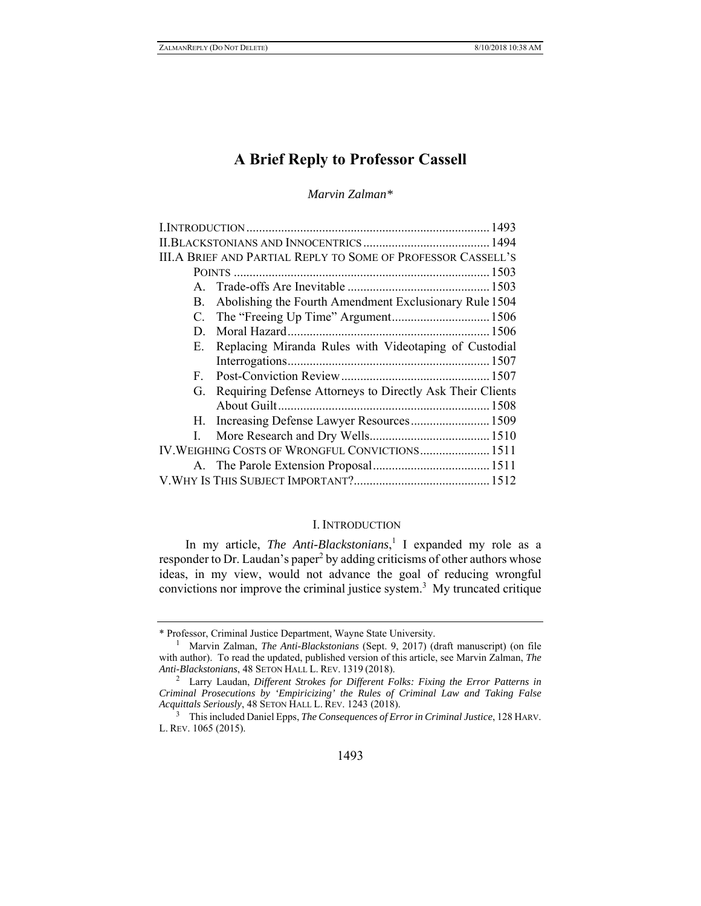# **A Brief Reply to Professor Cassell**

*Marvin Zalman\** 

| III.A BRIEF AND PARTIAL REPLY TO SOME OF PROFESSOR CASSELL'S |                                                           |  |
|--------------------------------------------------------------|-----------------------------------------------------------|--|
|                                                              |                                                           |  |
|                                                              |                                                           |  |
| B.                                                           | Abolishing the Fourth Amendment Exclusionary Rule 1504    |  |
|                                                              |                                                           |  |
| D.                                                           |                                                           |  |
| Е.                                                           | Replacing Miranda Rules with Videotaping of Custodial     |  |
|                                                              |                                                           |  |
| F.                                                           |                                                           |  |
| G.                                                           | Requiring Defense Attorneys to Directly Ask Their Clients |  |
|                                                              |                                                           |  |
|                                                              | H. Increasing Defense Lawyer Resources 1509               |  |
|                                                              |                                                           |  |
| IV. WEIGHING COSTS OF WRONGFUL CONVICTIONS 1511              |                                                           |  |
|                                                              |                                                           |  |
|                                                              |                                                           |  |
|                                                              |                                                           |  |

## I. INTRODUCTION

In my article, *The Anti-Blackstonians*,<sup>1</sup> I expanded my role as a responder to Dr. Laudan's paper<sup>2</sup> by adding criticisms of other authors whose ideas, in my view, would not advance the goal of reducing wrongful convictions nor improve the criminal justice system.<sup>3</sup> My truncated critique

<sup>\*</sup> Professor, Criminal Justice Department, Wayne State University. 1

<sup>&</sup>lt;sup>1</sup> Marvin Zalman, *The Anti-Blackstonians* (Sept. 9, 2017) (draft manuscript) (on file with author). To read the updated, published version of this article, see Marvin Zalman, *The Anti-Blackstonians*, 48 SETON HALL L. REV. <sup>1319</sup> (2018). 2

Larry Laudan, *Different Strokes for Different Folks: Fixing the Error Patterns in Criminal Prosecutions by 'Empiricizing' the Rules of Criminal Law and Taking False Acquittals Seriously*, 48 SETON HALL L. REV. 1243 (2018).

<sup>3</sup> This included Daniel Epps, *The Consequences of Error in Criminal Justice*, 128 HARV. L. REV. 1065 (2015).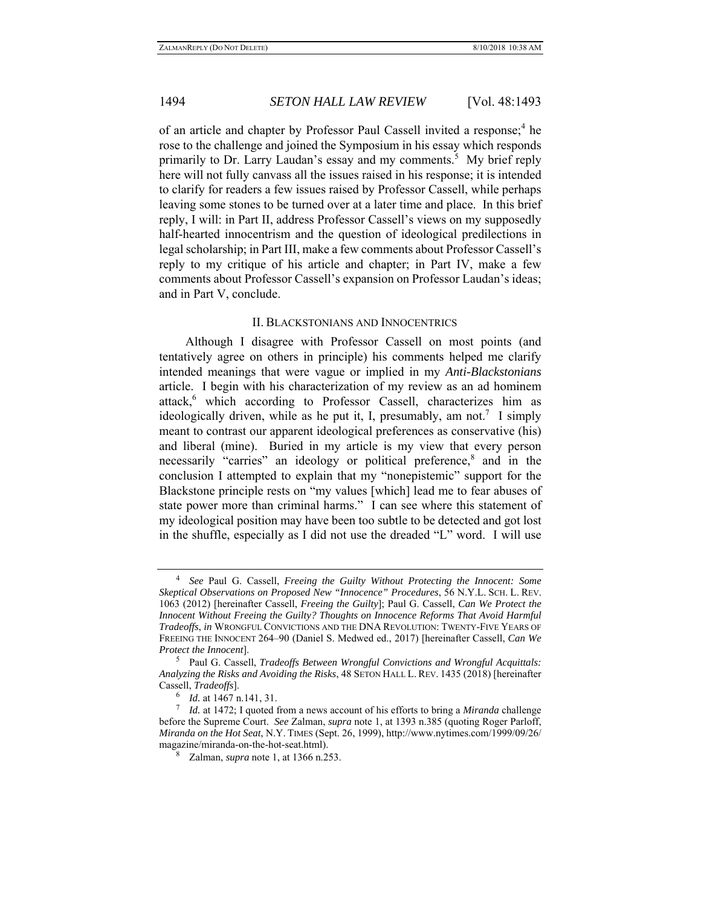of an article and chapter by Professor Paul Cassell invited a response;<sup>4</sup> he rose to the challenge and joined the Symposium in his essay which responds primarily to Dr. Larry Laudan's essay and my comments.<sup>5</sup> My brief reply here will not fully canvass all the issues raised in his response; it is intended to clarify for readers a few issues raised by Professor Cassell, while perhaps leaving some stones to be turned over at a later time and place. In this brief reply, I will: in Part II, address Professor Cassell's views on my supposedly half-hearted innocentrism and the question of ideological predilections in legal scholarship; in Part III, make a few comments about Professor Cassell's reply to my critique of his article and chapter; in Part IV, make a few comments about Professor Cassell's expansion on Professor Laudan's ideas; and in Part V, conclude.

#### II. BLACKSTONIANS AND INNOCENTRICS

Although I disagree with Professor Cassell on most points (and tentatively agree on others in principle) his comments helped me clarify intended meanings that were vague or implied in my *Anti-Blackstonians* article. I begin with his characterization of my review as an ad hominem attack,<sup>6</sup> which according to Professor Cassell, characterizes him as ideologically driven, while as he put it, I, presumably, am not.<sup>7</sup> I simply meant to contrast our apparent ideological preferences as conservative (his) and liberal (mine). Buried in my article is my view that every person necessarily "carries" an ideology or political preference,<sup>8</sup> and in the conclusion I attempted to explain that my "nonepistemic" support for the Blackstone principle rests on "my values [which] lead me to fear abuses of state power more than criminal harms." I can see where this statement of my ideological position may have been too subtle to be detected and got lost in the shuffle, especially as I did not use the dreaded "L" word. I will use

<sup>4</sup> *See* Paul G. Cassell, *Freeing the Guilty Without Protecting the Innocent: Some Skeptical Observations on Proposed New "Innocence" Procedures*, 56 N.Y.L. SCH. L. REV. 1063 (2012) [hereinafter Cassell, *Freeing the Guilty*]; Paul G. Cassell, *Can We Protect the Innocent Without Freeing the Guilty? Thoughts on Innocence Reforms That Avoid Harmful Tradeoffs*, *in* WRONGFUL CONVICTIONS AND THE DNA REVOLUTION: TWENTY-FIVE YEARS OF FREEING THE INNOCENT 264–90 (Daniel S. Medwed ed., 2017) [hereinafter Cassell, *Can We Protect the Innocent*].

Paul G. Cassell, *Tradeoffs Between Wrongful Convictions and Wrongful Acquittals: Analyzing the Risks and Avoiding the Risks*, 48 SETON HALL L. REV. 1435 (2018) [hereinafter Cassell, *Tradeoffs*].

<sup>&</sup>lt;sup>6</sup> *Id.* at 1467 n.141, 31.<br><sup>7</sup> *Id.* at 1472; I quoted f

*Id.* at 1472; I quoted from a news account of his efforts to bring a *Miranda* challenge before the Supreme Court. *See* Zalman, *supra* note 1, at 1393 n.385 (quoting Roger Parloff, *Miranda on the Hot Seat*, N.Y. TIMES (Sept. 26, 1999), http://www.nytimes.com/1999/09/26/ magazine/miranda-on-the-hot-seat.html).

<sup>8</sup> Zalman, *supra* note 1, at 1366 n.253.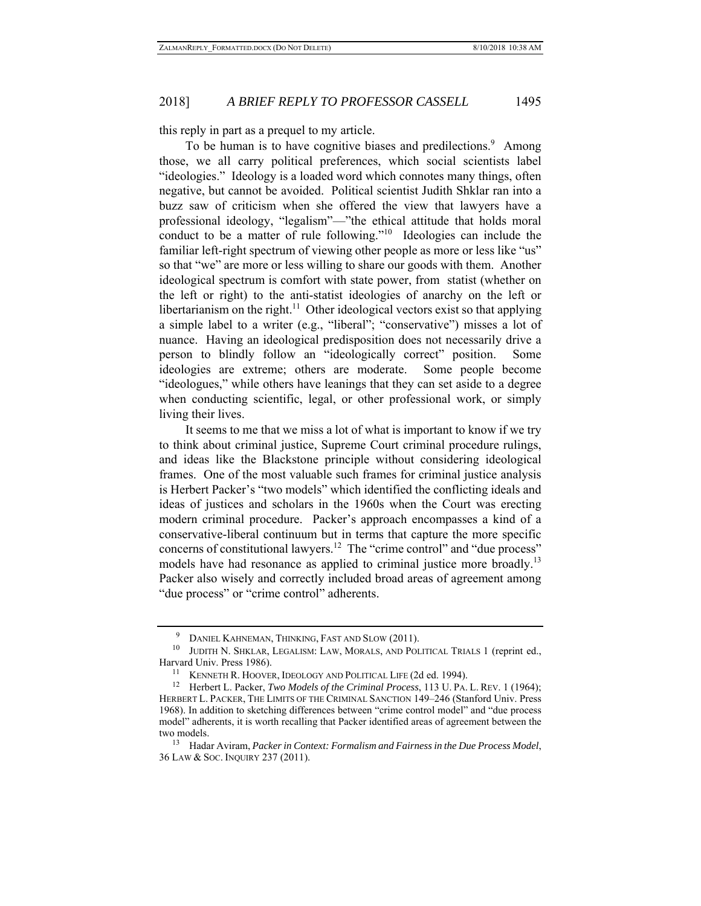this reply in part as a prequel to my article.

To be human is to have cognitive biases and predilections.<sup>9</sup> Among those, we all carry political preferences, which social scientists label "ideologies." Ideology is a loaded word which connotes many things, often negative, but cannot be avoided. Political scientist Judith Shklar ran into a buzz saw of criticism when she offered the view that lawyers have a professional ideology, "legalism"—"the ethical attitude that holds moral conduct to be a matter of rule following."<sup>10</sup> Ideologies can include the familiar left-right spectrum of viewing other people as more or less like "us" so that "we" are more or less willing to share our goods with them. Another ideological spectrum is comfort with state power, from statist (whether on the left or right) to the anti-statist ideologies of anarchy on the left or libertarianism on the right.<sup>11</sup> Other ideological vectors exist so that applying a simple label to a writer (e.g., "liberal"; "conservative") misses a lot of nuance. Having an ideological predisposition does not necessarily drive a person to blindly follow an "ideologically correct" position. Some ideologies are extreme; others are moderate. Some people become "ideologues," while others have leanings that they can set aside to a degree when conducting scientific, legal, or other professional work, or simply living their lives.

It seems to me that we miss a lot of what is important to know if we try to think about criminal justice, Supreme Court criminal procedure rulings, and ideas like the Blackstone principle without considering ideological frames. One of the most valuable such frames for criminal justice analysis is Herbert Packer's "two models" which identified the conflicting ideals and ideas of justices and scholars in the 1960s when the Court was erecting modern criminal procedure. Packer's approach encompasses a kind of a conservative-liberal continuum but in terms that capture the more specific concerns of constitutional lawyers.<sup>12</sup> The "crime control" and "due process" models have had resonance as applied to criminal justice more broadly.<sup>13</sup> Packer also wisely and correctly included broad areas of agreement among "due process" or "crime control" adherents.

<sup>9</sup> DANIEL KAHNEMAN, THINKING, FAST AND SLOW (2011).

 $^{10}\,$  JUDITH N. SHKLAR, LEGALISM: LAW, MORALS, AND POLITICAL TRIALS 1 (reprint ed., Harvard Univ. Press 1986).

<sup>&</sup>lt;sup>11</sup> KENNETH R. HOOVER, IDEOLOGY AND POLITICAL LIFE (2d ed. 1994).<br><sup>12</sup> Herbert L. Packer, *Two Models of the Criminal Process*, 113 U. PA. L. REV. 1 (1964); HERBERT L. PACKER, THE LIMITS OF THE CRIMINAL SANCTION 149–246 (Stanford Univ. Press 1968). In addition to sketching differences between "crime control model" and "due process model" adherents, it is worth recalling that Packer identified areas of agreement between the two models.

<sup>13</sup> Hadar Aviram, *Packer in Context: Formalism and Fairness in the Due Process Model*, 36 LAW & SOC. INQUIRY 237 (2011).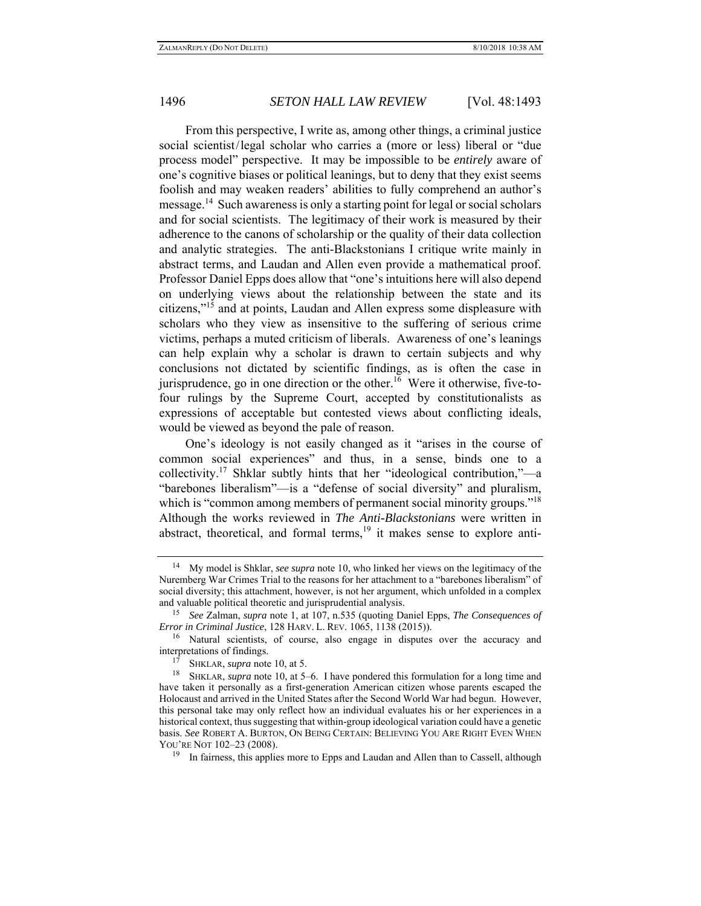From this perspective, I write as, among other things, a criminal justice social scientist/legal scholar who carries a (more or less) liberal or "due process model" perspective. It may be impossible to be *entirely* aware of one's cognitive biases or political leanings, but to deny that they exist seems foolish and may weaken readers' abilities to fully comprehend an author's message.<sup>14</sup> Such awareness is only a starting point for legal or social scholars and for social scientists. The legitimacy of their work is measured by their adherence to the canons of scholarship or the quality of their data collection and analytic strategies. The anti-Blackstonians I critique write mainly in abstract terms, and Laudan and Allen even provide a mathematical proof. Professor Daniel Epps does allow that "one's intuitions here will also depend on underlying views about the relationship between the state and its citizens,"15 and at points, Laudan and Allen express some displeasure with scholars who they view as insensitive to the suffering of serious crime victims, perhaps a muted criticism of liberals. Awareness of one's leanings can help explain why a scholar is drawn to certain subjects and why conclusions not dictated by scientific findings, as is often the case in jurisprudence, go in one direction or the other.<sup>16</sup> Were it otherwise, five-tofour rulings by the Supreme Court, accepted by constitutionalists as expressions of acceptable but contested views about conflicting ideals, would be viewed as beyond the pale of reason.

One's ideology is not easily changed as it "arises in the course of common social experiences" and thus, in a sense, binds one to a collectivity.<sup>17</sup> Shklar subtly hints that her "ideological contribution,"—a "barebones liberalism"—is a "defense of social diversity" and pluralism, which is "common among members of permanent social minority groups."<sup>18</sup> Although the works reviewed in *The Anti-Blackstonians* were written in abstract, theoretical, and formal terms,<sup>19</sup> it makes sense to explore anti-

<sup>14</sup> My model is Shklar, *see supra* note 10, who linked her views on the legitimacy of the Nuremberg War Crimes Trial to the reasons for her attachment to a "barebones liberalism" of social diversity; this attachment, however, is not her argument, which unfolded in a complex and valuable political theoretic and jurisprudential analysis. 15 *See* Zalman, *supra* note 1, at 107, n.535 (quoting Daniel Epps, *The Consequences of* 

*Error in Criminal Justice*, 128 HARV. L. REV. 1065, 1138 (2015)).

<sup>&</sup>lt;sup>16</sup> Natural scientists, of course, also engage in disputes over the accuracy and interpretations of findings.

<sup>17</sup> SHKLAR, *supra* note 10, at 5.

<sup>18</sup> SHKLAR, *supra* note 10, at 5–6. I have pondered this formulation for a long time and have taken it personally as a first-generation American citizen whose parents escaped the Holocaust and arrived in the United States after the Second World War had begun. However, this personal take may only reflect how an individual evaluates his or her experiences in a historical context, thus suggesting that within-group ideological variation could have a genetic basis. *See* ROBERT A. BURTON, ON BEING CERTAIN: BELIEVING YOU ARE RIGHT EVEN WHEN YOU'RE NOT 102–23 (2008).

<sup>&</sup>lt;sup>19</sup> In fairness, this applies more to Epps and Laudan and Allen than to Cassell, although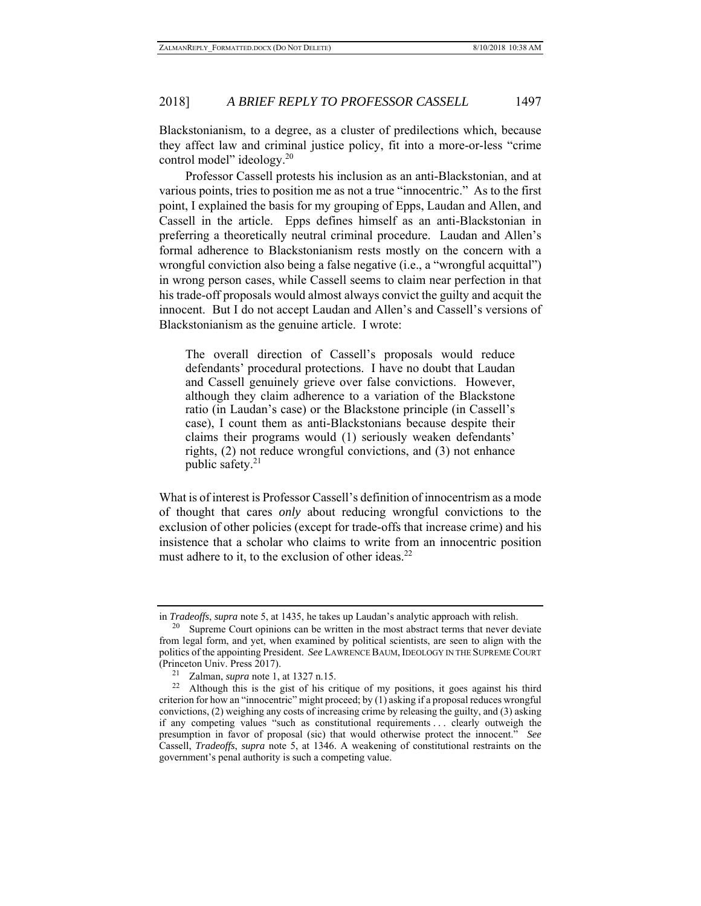Blackstonianism, to a degree, as a cluster of predilections which, because they affect law and criminal justice policy, fit into a more-or-less "crime control model" ideology.<sup>20</sup>

Professor Cassell protests his inclusion as an anti-Blackstonian, and at various points, tries to position me as not a true "innocentric." As to the first point, I explained the basis for my grouping of Epps, Laudan and Allen, and Cassell in the article. Epps defines himself as an anti-Blackstonian in preferring a theoretically neutral criminal procedure. Laudan and Allen's formal adherence to Blackstonianism rests mostly on the concern with a wrongful conviction also being a false negative (i.e., a "wrongful acquittal") in wrong person cases, while Cassell seems to claim near perfection in that his trade-off proposals would almost always convict the guilty and acquit the innocent. But I do not accept Laudan and Allen's and Cassell's versions of Blackstonianism as the genuine article. I wrote:

The overall direction of Cassell's proposals would reduce defendants' procedural protections. I have no doubt that Laudan and Cassell genuinely grieve over false convictions. However, although they claim adherence to a variation of the Blackstone ratio (in Laudan's case) or the Blackstone principle (in Cassell's case), I count them as anti-Blackstonians because despite their claims their programs would (1) seriously weaken defendants' rights, (2) not reduce wrongful convictions, and (3) not enhance public safety. $21$ 

What is of interest is Professor Cassell's definition of innocentrism as a mode of thought that cares *only* about reducing wrongful convictions to the exclusion of other policies (except for trade-offs that increase crime) and his insistence that a scholar who claims to write from an innocentric position must adhere to it, to the exclusion of other ideas. $^{22}$ 

in *Tradeoffs*, *supra* note 5, at 1435, he takes up Laudan's analytic approach with relish.

 $20$  Supreme Court opinions can be written in the most abstract terms that never deviate from legal form, and yet, when examined by political scientists, are seen to align with the politics of the appointing President. *See* LAWRENCE BAUM,IDEOLOGY IN THE SUPREME COURT (Princeton Univ. Press 2017). 21 Zalman, *supra* note 1, at 1327 n.15. 22 Although this is the gist of his critique of my positions, it goes against his third

criterion for how an "innocentric" might proceed; by (1) asking if a proposal reduces wrongful convictions, (2) weighing any costs of increasing crime by releasing the guilty, and (3) asking if any competing values "such as constitutional requirements . . . clearly outweigh the presumption in favor of proposal (sic) that would otherwise protect the innocent." *See* Cassell, *Tradeoffs*, *supra* note 5, at 1346. A weakening of constitutional restraints on the government's penal authority is such a competing value.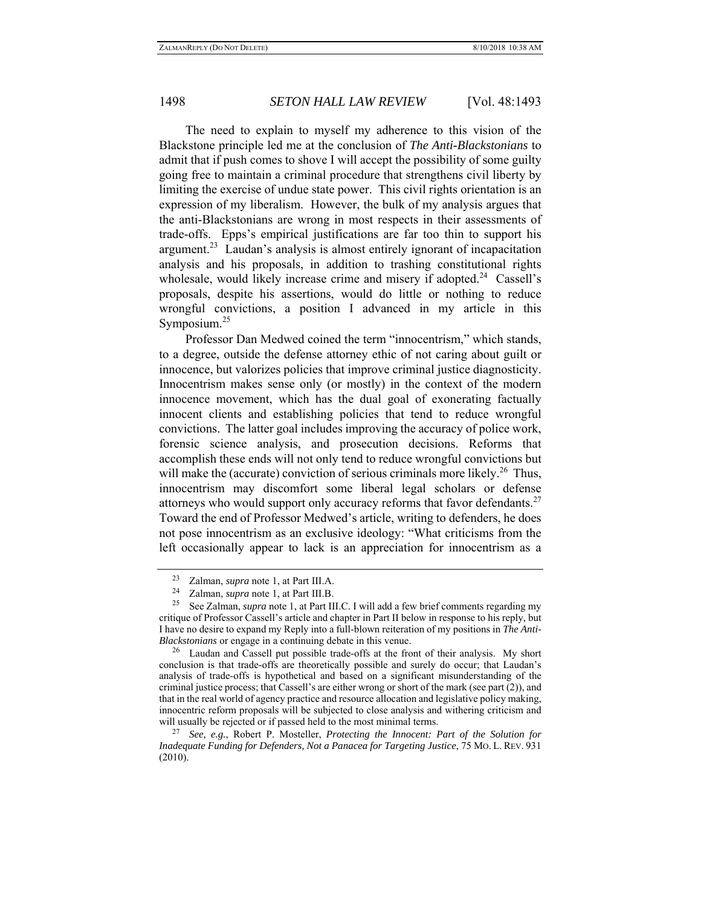The need to explain to myself my adherence to this vision of the Blackstone principle led me at the conclusion of *The Anti-Blackstonians* to admit that if push comes to shove I will accept the possibility of some guilty going free to maintain a criminal procedure that strengthens civil liberty by limiting the exercise of undue state power. This civil rights orientation is an expression of my liberalism. However, the bulk of my analysis argues that the anti-Blackstonians are wrong in most respects in their assessments of trade-offs. Epps's empirical justifications are far too thin to support his argument.<sup>23</sup> Laudan's analysis is almost entirely ignorant of incapacitation analysis and his proposals, in addition to trashing constitutional rights wholesale, would likely increase crime and misery if adopted.<sup>24</sup> Cassell's proposals, despite his assertions, would do little or nothing to reduce wrongful convictions, a position I advanced in my article in this Symposium.<sup>25</sup>

Professor Dan Medwed coined the term "innocentrism," which stands, to a degree, outside the defense attorney ethic of not caring about guilt or innocence, but valorizes policies that improve criminal justice diagnosticity. Innocentrism makes sense only (or mostly) in the context of the modern innocence movement, which has the dual goal of exonerating factually innocent clients and establishing policies that tend to reduce wrongful convictions. The latter goal includes improving the accuracy of police work, forensic science analysis, and prosecution decisions. Reforms that accomplish these ends will not only tend to reduce wrongful convictions but will make the (accurate) conviction of serious criminals more likely.<sup>26</sup> Thus, innocentrism may discomfort some liberal legal scholars or defense attorneys who would support only accuracy reforms that favor defendants. $27$ Toward the end of Professor Medwed's article, writing to defenders, he does not pose innocentrism as an exclusive ideology: "What criticisms from the left occasionally appear to lack is an appreciation for innocentrism as a

<sup>23</sup> Zalman, *supra* note 1, at Part III.A. 24 Zalman, *supra* note 1, at Part III.B.

See Zalman, *supra* note 1, at Part III.C. I will add a few brief comments regarding my critique of Professor Cassell's article and chapter in Part II below in response to his reply, but I have no desire to expand my Reply into a full-blown reiteration of my positions in *The Anti-Blackstonians* or engage in a continuing debate in this venue.

 $26$  Laudan and Cassell put possible trade-offs at the front of their analysis. My short conclusion is that trade-offs are theoretically possible and surely do occur; that Laudan's analysis of trade-offs is hypothetical and based on a significant misunderstanding of the criminal justice process; that Cassell's are either wrong or short of the mark (see part (2)), and that in the real world of agency practice and resource allocation and legislative policy making, innocentric reform proposals will be subjected to close analysis and withering criticism and will usually be rejected or if passed held to the most minimal terms.

<sup>27</sup> *See, e.g.*, Robert P. Mosteller, *Protecting the Innocent: Part of the Solution for Inadequate Funding for Defenders, Not a Panacea for Targeting Justice*, 75 MO. L. REV. 931 (2010).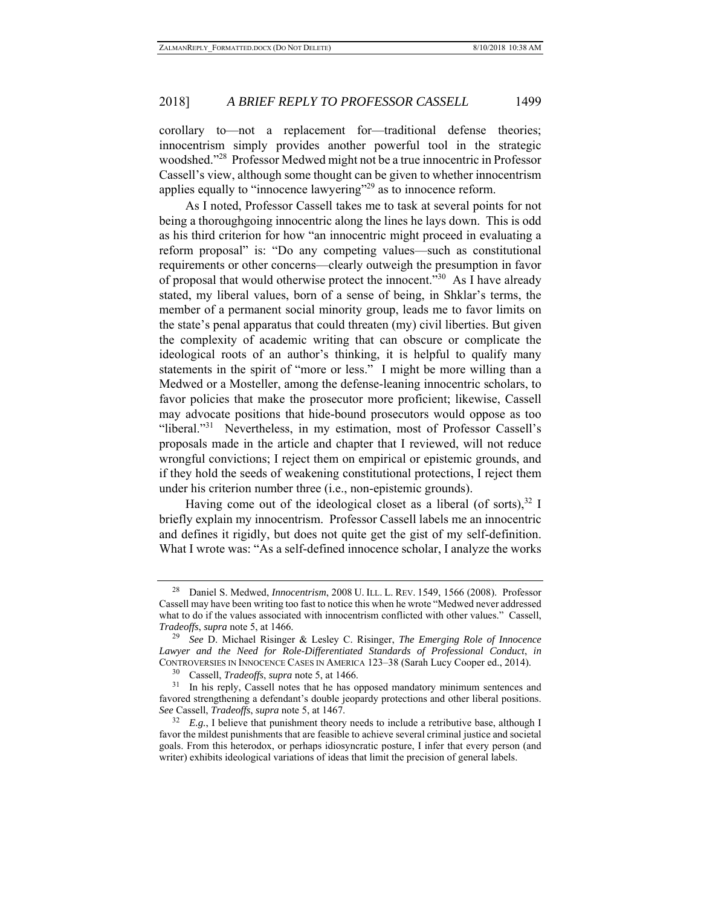corollary to—not a replacement for—traditional defense theories; innocentrism simply provides another powerful tool in the strategic woodshed."28 Professor Medwed might not be a true innocentric in Professor Cassell's view, although some thought can be given to whether innocentrism applies equally to "innocence lawyering"<sup>29</sup> as to innocence reform.

As I noted, Professor Cassell takes me to task at several points for not being a thoroughgoing innocentric along the lines he lays down. This is odd as his third criterion for how "an innocentric might proceed in evaluating a reform proposal" is: "Do any competing values—such as constitutional requirements or other concerns—clearly outweigh the presumption in favor of proposal that would otherwise protect the innocent.<sup>330</sup> As I have already stated, my liberal values, born of a sense of being, in Shklar's terms, the member of a permanent social minority group, leads me to favor limits on the state's penal apparatus that could threaten (my) civil liberties. But given the complexity of academic writing that can obscure or complicate the ideological roots of an author's thinking, it is helpful to qualify many statements in the spirit of "more or less." I might be more willing than a Medwed or a Mosteller, among the defense-leaning innocentric scholars, to favor policies that make the prosecutor more proficient; likewise, Cassell may advocate positions that hide-bound prosecutors would oppose as too "liberal."<sup>31</sup> Nevertheless, in my estimation, most of Professor Cassell's proposals made in the article and chapter that I reviewed, will not reduce wrongful convictions; I reject them on empirical or epistemic grounds, and if they hold the seeds of weakening constitutional protections, I reject them under his criterion number three (i.e., non-epistemic grounds).

Having come out of the ideological closet as a liberal (of sorts), $32$  I briefly explain my innocentrism. Professor Cassell labels me an innocentric and defines it rigidly, but does not quite get the gist of my self-definition. What I wrote was: "As a self-defined innocence scholar, I analyze the works

<sup>28</sup> Daniel S. Medwed, *Innocentrism*, 2008 U. ILL. L. REV. 1549, 1566 (2008). Professor Cassell may have been writing too fast to notice this when he wrote "Medwed never addressed what to do if the values associated with innocentrism conflicted with other values." Cassell, *Tradeoffs*, *supra* note 5, at 1466.

<sup>29</sup> *See* D. Michael Risinger & Lesley C. Risinger, *The Emerging Role of Innocence Lawyer and the Need for Role-Differentiated Standards of Professional Conduct*, *in* CONTROVERSIES IN INNOCENCE CASES IN AMERICA 123–38 (Sarah Lucy Cooper ed., 2014).

<sup>30</sup> Cassell, *Tradeoffs*, *supra* note 5, at 1466.

<sup>&</sup>lt;sup>31</sup> In his reply, Cassell notes that he has opposed mandatory minimum sentences and favored strengthening a defendant's double jeopardy protections and other liberal positions. *See* Cassell, *Tradeoffs*, *supra* note 5, at 1467.

<sup>&</sup>lt;sup>32</sup> *E.g.*, I believe that punishment theory needs to include a retributive base, although I favor the mildest punishments that are feasible to achieve several criminal justice and societal goals. From this heterodox, or perhaps idiosyncratic posture, I infer that every person (and writer) exhibits ideological variations of ideas that limit the precision of general labels.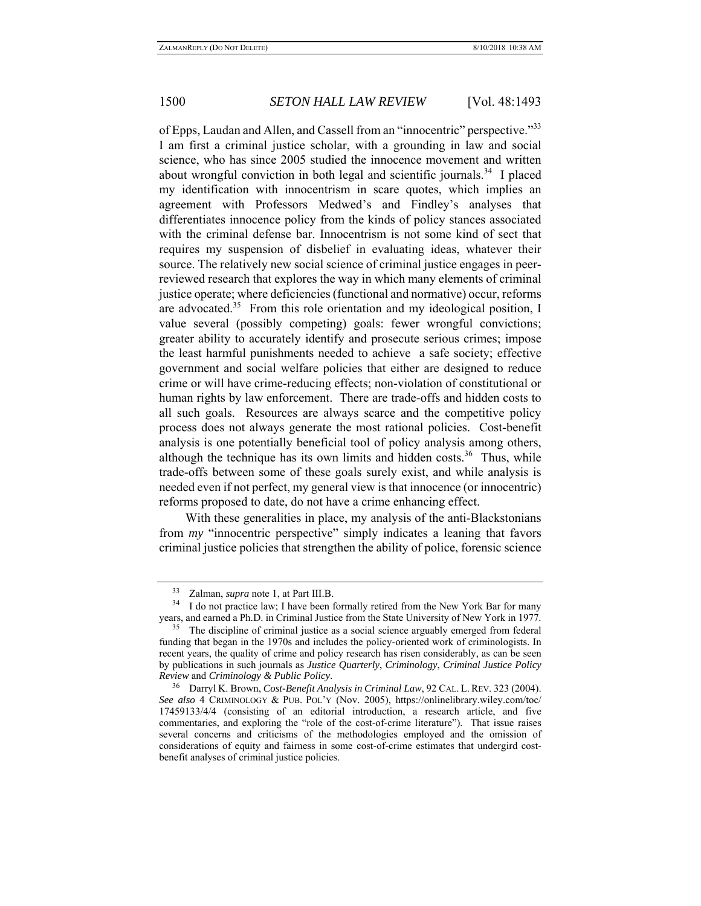of Epps, Laudan and Allen, and Cassell from an "innocentric" perspective."<sup>33</sup> I am first a criminal justice scholar, with a grounding in law and social science, who has since 2005 studied the innocence movement and written about wrongful conviction in both legal and scientific journals. 34 I placed my identification with innocentrism in scare quotes, which implies an agreement with Professors Medwed's and Findley's analyses that differentiates innocence policy from the kinds of policy stances associated with the criminal defense bar. Innocentrism is not some kind of sect that requires my suspension of disbelief in evaluating ideas, whatever their source. The relatively new social science of criminal justice engages in peerreviewed research that explores the way in which many elements of criminal justice operate; where deficiencies (functional and normative) occur, reforms are advocated.<sup>35</sup> From this role orientation and my ideological position, I value several (possibly competing) goals: fewer wrongful convictions; greater ability to accurately identify and prosecute serious crimes; impose the least harmful punishments needed to achieve a safe society; effective government and social welfare policies that either are designed to reduce crime or will have crime-reducing effects; non-violation of constitutional or human rights by law enforcement. There are trade-offs and hidden costs to all such goals. Resources are always scarce and the competitive policy process does not always generate the most rational policies. Cost-benefit analysis is one potentially beneficial tool of policy analysis among others, although the technique has its own limits and hidden costs.<sup>36</sup> Thus, while trade-offs between some of these goals surely exist, and while analysis is needed even if not perfect, my general view is that innocence (or innocentric) reforms proposed to date, do not have a crime enhancing effect.

With these generalities in place, my analysis of the anti-Blackstonians from *my* "innocentric perspective" simply indicates a leaning that favors criminal justice policies that strengthen the ability of police, forensic science

<sup>33</sup> Zalman, *supra* note 1, at Part III.B.

<sup>&</sup>lt;sup>34</sup> I do not practice law; I have been formally retired from the New York Bar for many years, and earned a Ph.D. in Criminal Justice from the State University of New York in 1977.

<sup>&</sup>lt;sup>35</sup> The discipline of criminal justice as a social science arguably emerged from federal funding that began in the 1970s and includes the policy-oriented work of criminologists. In recent years, the quality of crime and policy research has risen considerably, as can be seen by publications in such journals as *Justice Quarterly*, *Criminology*, *Criminal Justice Policy Review* and *Criminology & Public Policy*. 36 Darryl K. Brown, *Cost-Benefit Analysis in Criminal Law*, 92 CAL. L. REV. 323 (2004).

*See also* 4 CRIMINOLOGY & PUB. POL'Y (Nov. 2005), https://onlinelibrary.wiley.com/toc/ 17459133/4/4 (consisting of an editorial introduction, a research article, and five commentaries, and exploring the "role of the cost-of-crime literature"). That issue raises several concerns and criticisms of the methodologies employed and the omission of considerations of equity and fairness in some cost-of-crime estimates that undergird costbenefit analyses of criminal justice policies.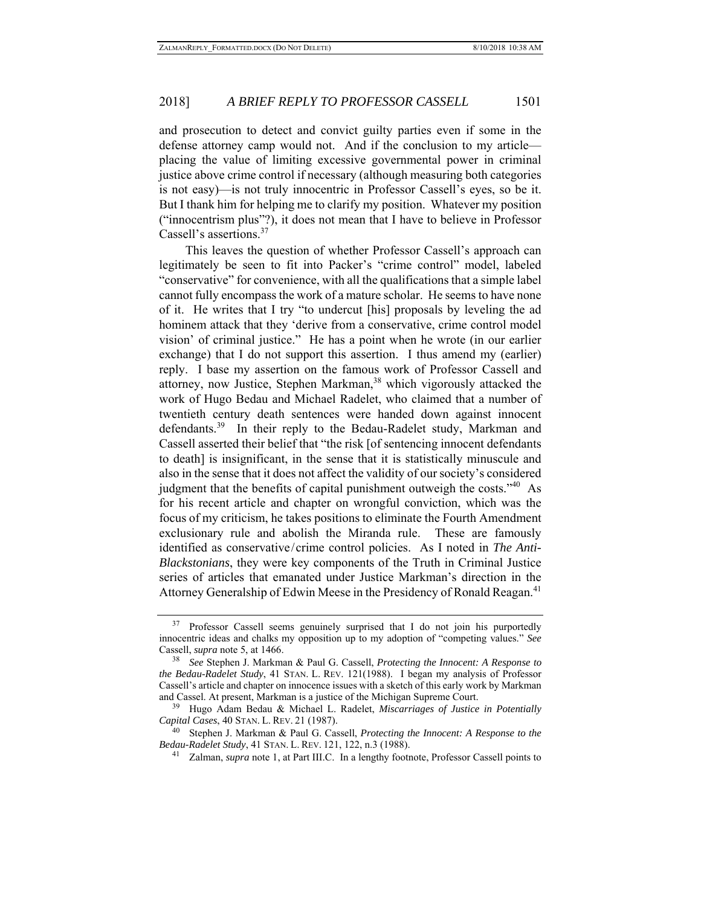and prosecution to detect and convict guilty parties even if some in the defense attorney camp would not. And if the conclusion to my article placing the value of limiting excessive governmental power in criminal justice above crime control if necessary (although measuring both categories is not easy)—is not truly innocentric in Professor Cassell's eyes, so be it. But I thank him for helping me to clarify my position. Whatever my position ("innocentrism plus"?), it does not mean that I have to believe in Professor Cassell's assertions.<sup>37</sup>

This leaves the question of whether Professor Cassell's approach can legitimately be seen to fit into Packer's "crime control" model, labeled "conservative" for convenience, with all the qualifications that a simple label cannot fully encompass the work of a mature scholar. He seems to have none of it. He writes that I try "to undercut [his] proposals by leveling the ad hominem attack that they 'derive from a conservative, crime control model vision' of criminal justice." He has a point when he wrote (in our earlier exchange) that I do not support this assertion. I thus amend my (earlier) reply. I base my assertion on the famous work of Professor Cassell and attorney, now Justice, Stephen Markman,<sup>38</sup> which vigorously attacked the work of Hugo Bedau and Michael Radelet, who claimed that a number of twentieth century death sentences were handed down against innocent defendants.<sup>39</sup> In their reply to the Bedau-Radelet study, Markman and Cassell asserted their belief that "the risk [of sentencing innocent defendants to death] is insignificant, in the sense that it is statistically minuscule and also in the sense that it does not affect the validity of our society's considered judgment that the benefits of capital punishment outweigh the costs."<sup>40</sup> As for his recent article and chapter on wrongful conviction, which was the focus of my criticism, he takes positions to eliminate the Fourth Amendment exclusionary rule and abolish the Miranda rule. These are famously identified as conservative/crime control policies. As I noted in *The Anti-Blackstonians*, they were key components of the Truth in Criminal Justice series of articles that emanated under Justice Markman's direction in the Attorney Generalship of Edwin Meese in the Presidency of Ronald Reagan.<sup>41</sup>

<sup>&</sup>lt;sup>37</sup> Professor Cassell seems genuinely surprised that I do not join his purportedly innocentric ideas and chalks my opposition up to my adoption of "competing values." *See* Cassell, *supra* note 5, at 1466.

<sup>38</sup> *See* Stephen J. Markman & Paul G. Cassell, *Protecting the Innocent: A Response to the Bedau-Radelet Study*, 41 STAN. L. REV. 121(1988). I began my analysis of Professor Cassell's article and chapter on innocence issues with a sketch of this early work by Markman and Cassel. At present, Markman is a justice of the Michigan Supreme Court.

<sup>39</sup> Hugo Adam Bedau & Michael L. Radelet, *Miscarriages of Justice in Potentially Capital Cases*, 40 STAN. L. REV. 21 (1987).

<sup>40</sup> Stephen J. Markman & Paul G. Cassell, *Protecting the Innocent: A Response to the Bedau-Radelet Study*, 41 STAN. L. REV. 121, 122, n.3 (1988). 41 Zalman, *supra* note 1, at Part III.C. In a lengthy footnote, Professor Cassell points to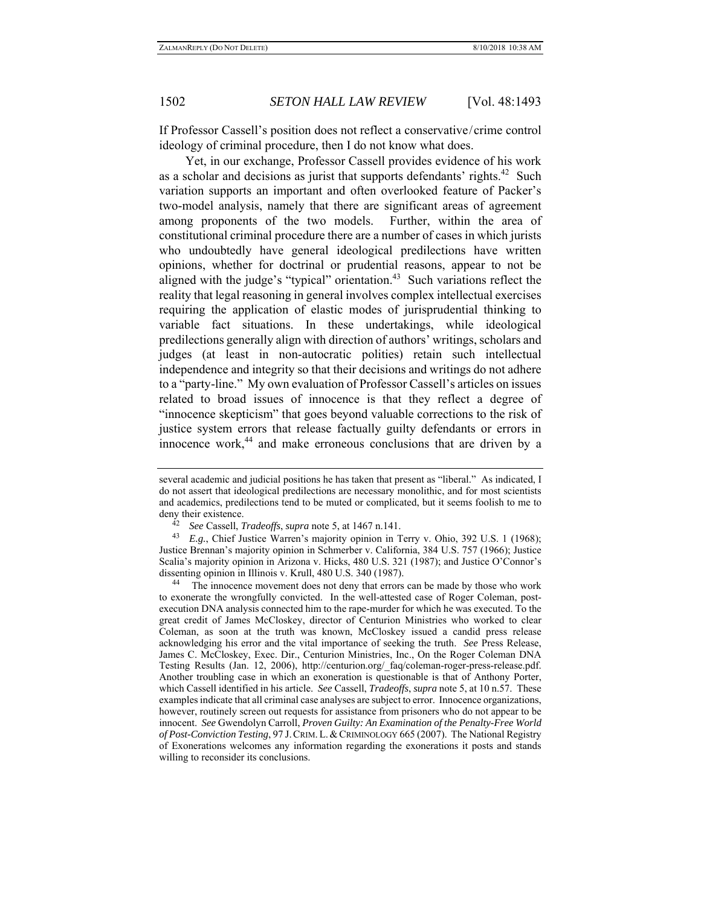If Professor Cassell's position does not reflect a conservative/crime control ideology of criminal procedure, then I do not know what does.

Yet, in our exchange, Professor Cassell provides evidence of his work as a scholar and decisions as jurist that supports defendants' rights.<sup>42</sup> Such variation supports an important and often overlooked feature of Packer's two-model analysis, namely that there are significant areas of agreement among proponents of the two models. Further, within the area of constitutional criminal procedure there are a number of cases in which jurists who undoubtedly have general ideological predilections have written opinions, whether for doctrinal or prudential reasons, appear to not be aligned with the judge's "typical" orientation.<sup>43</sup> Such variations reflect the reality that legal reasoning in general involves complex intellectual exercises requiring the application of elastic modes of jurisprudential thinking to variable fact situations. In these undertakings, while ideological predilections generally align with direction of authors' writings, scholars and judges (at least in non-autocratic polities) retain such intellectual independence and integrity so that their decisions and writings do not adhere to a "party-line." My own evaluation of Professor Cassell's articles on issues related to broad issues of innocence is that they reflect a degree of "innocence skepticism" that goes beyond valuable corrections to the risk of justice system errors that release factually guilty defendants or errors in innocence work, $44$  and make erroneous conclusions that are driven by a

several academic and judicial positions he has taken that present as "liberal." As indicated, I do not assert that ideological predilections are necessary monolithic, and for most scientists and academics, predilections tend to be muted or complicated, but it seems foolish to me to

deny their existence.<br><sup>42</sup> *See* Cassell, *Tradeoffs*, *supra* note 5, at 1467 n.141.<br><sup>43</sup> *F o* Chief Justice Warren's majority oninion in T

<sup>43</sup> *E.g.*, Chief Justice Warren's majority opinion in Terry v. Ohio, 392 U.S. 1 (1968); Justice Brennan's majority opinion in Schmerber v. California, 384 U.S. 757 (1966); Justice Scalia's majority opinion in Arizona v. Hicks, 480 U.S. 321 (1987); and Justice O'Connor's dissenting opinion in Illinois v. Krull, 480 U.S. 340 (1987).<br><sup>44</sup> The innocence movement does not deny that errors can be made by those who work

to exonerate the wrongfully convicted. In the well-attested case of Roger Coleman, postexecution DNA analysis connected him to the rape-murder for which he was executed. To the great credit of James McCloskey, director of Centurion Ministries who worked to clear Coleman, as soon at the truth was known, McCloskey issued a candid press release acknowledging his error and the vital importance of seeking the truth. *See* Press Release, James C. McCloskey, Exec. Dir., Centurion Ministries, Inc., On the Roger Coleman DNA Testing Results (Jan. 12, 2006), http://centurion.org/\_faq/coleman-roger-press-release.pdf. Another troubling case in which an exoneration is questionable is that of Anthony Porter, which Cassell identified in his article. *See* Cassell, *Tradeoffs*, *supra* note 5, at 10 n.57. These examples indicate that all criminal case analyses are subject to error. Innocence organizations, however, routinely screen out requests for assistance from prisoners who do not appear to be innocent. *See* Gwendolyn Carroll, *Proven Guilty: An Examination of the Penalty-Free World of Post-Conviction Testing*, 97 J.CRIM.L.&CRIMINOLOGY 665 (2007). The National Registry of Exonerations welcomes any information regarding the exonerations it posts and stands willing to reconsider its conclusions.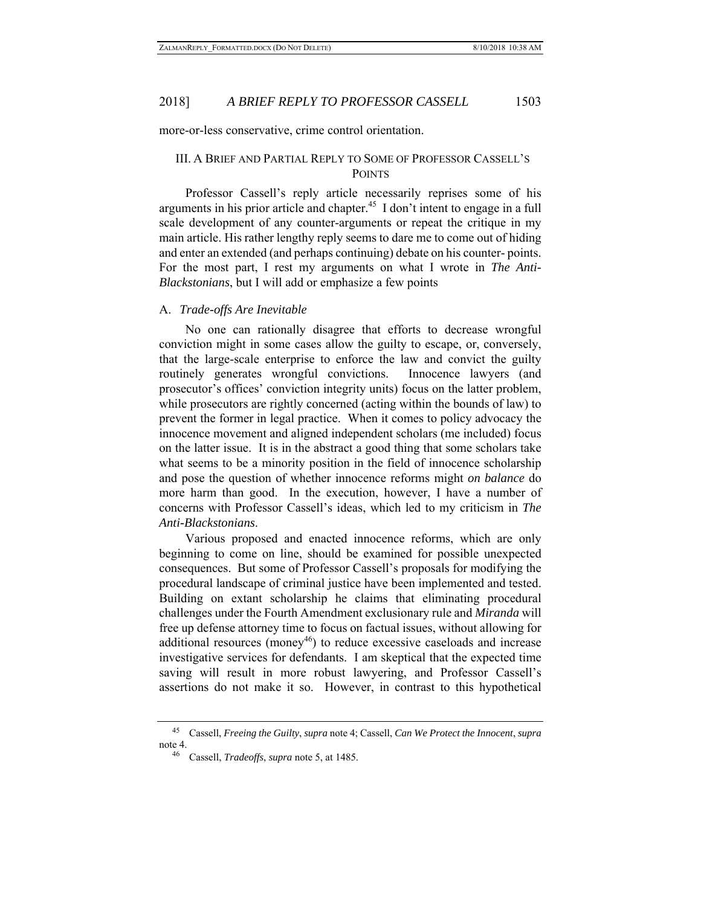more-or-less conservative, crime control orientation.

## III. A BRIEF AND PARTIAL REPLY TO SOME OF PROFESSOR CASSELL'S POINTS

Professor Cassell's reply article necessarily reprises some of his arguments in his prior article and chapter.45 I don't intent to engage in a full scale development of any counter-arguments or repeat the critique in my main article. His rather lengthy reply seems to dare me to come out of hiding and enter an extended (and perhaps continuing) debate on his counter- points. For the most part, I rest my arguments on what I wrote in *The Anti-Blackstonians*, but I will add or emphasize a few points

#### A. *Trade-offs Are Inevitable*

No one can rationally disagree that efforts to decrease wrongful conviction might in some cases allow the guilty to escape, or, conversely, that the large-scale enterprise to enforce the law and convict the guilty routinely generates wrongful convictions. Innocence lawyers (and prosecutor's offices' conviction integrity units) focus on the latter problem, while prosecutors are rightly concerned (acting within the bounds of law) to prevent the former in legal practice. When it comes to policy advocacy the innocence movement and aligned independent scholars (me included) focus on the latter issue. It is in the abstract a good thing that some scholars take what seems to be a minority position in the field of innocence scholarship and pose the question of whether innocence reforms might *on balance* do more harm than good. In the execution, however, I have a number of concerns with Professor Cassell's ideas, which led to my criticism in *The Anti-Blackstonians*.

Various proposed and enacted innocence reforms, which are only beginning to come on line, should be examined for possible unexpected consequences. But some of Professor Cassell's proposals for modifying the procedural landscape of criminal justice have been implemented and tested. Building on extant scholarship he claims that eliminating procedural challenges under the Fourth Amendment exclusionary rule and *Miranda* will free up defense attorney time to focus on factual issues, without allowing for additional resources (money<sup>46</sup>) to reduce excessive caseloads and increase investigative services for defendants. I am skeptical that the expected time saving will result in more robust lawyering, and Professor Cassell's assertions do not make it so. However, in contrast to this hypothetical

<sup>45</sup> Cassell, *Freeing the Guilty*, *supra* note 4; Cassell, *Can We Protect the Innocent*, *supra* note 4.

<sup>46</sup> Cassell, *Tradeoffs*, *supra* note 5, at 1485.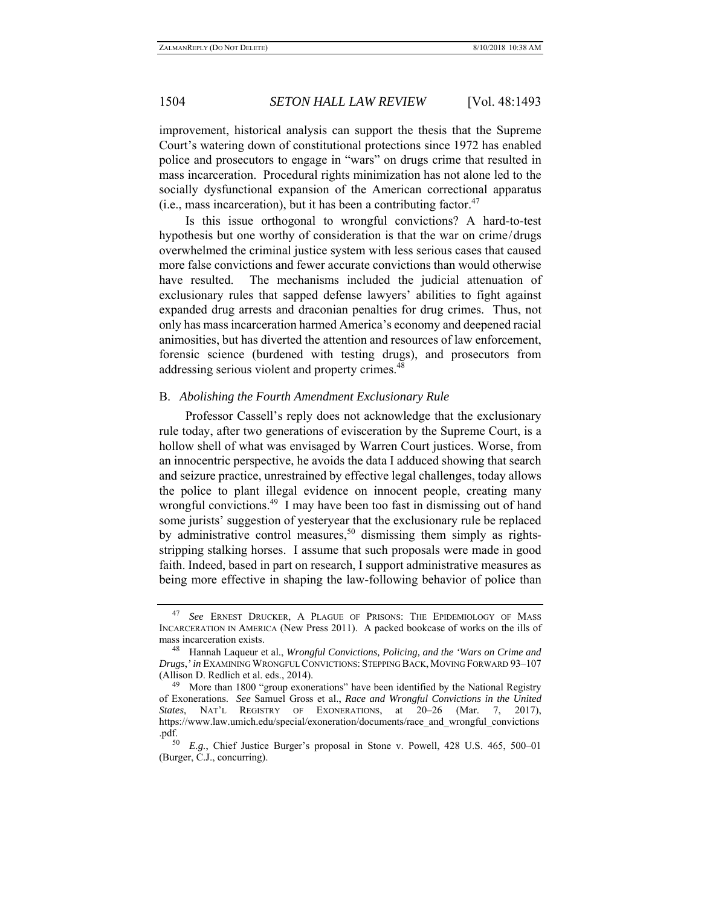improvement, historical analysis can support the thesis that the Supreme Court's watering down of constitutional protections since 1972 has enabled police and prosecutors to engage in "wars" on drugs crime that resulted in mass incarceration. Procedural rights minimization has not alone led to the socially dysfunctional expansion of the American correctional apparatus (i.e., mass incarceration), but it has been a contributing factor.<sup>47</sup>

Is this issue orthogonal to wrongful convictions? A hard-to-test hypothesis but one worthy of consideration is that the war on crime/drugs overwhelmed the criminal justice system with less serious cases that caused more false convictions and fewer accurate convictions than would otherwise have resulted. The mechanisms included the judicial attenuation of exclusionary rules that sapped defense lawyers' abilities to fight against expanded drug arrests and draconian penalties for drug crimes. Thus, not only has mass incarceration harmed America's economy and deepened racial animosities, but has diverted the attention and resources of law enforcement, forensic science (burdened with testing drugs), and prosecutors from addressing serious violent and property crimes.<sup>48</sup>

## B. *Abolishing the Fourth Amendment Exclusionary Rule*

Professor Cassell's reply does not acknowledge that the exclusionary rule today, after two generations of evisceration by the Supreme Court, is a hollow shell of what was envisaged by Warren Court justices. Worse, from an innocentric perspective, he avoids the data I adduced showing that search and seizure practice, unrestrained by effective legal challenges, today allows the police to plant illegal evidence on innocent people, creating many wrongful convictions.<sup>49</sup> I may have been too fast in dismissing out of hand some jurists' suggestion of yesteryear that the exclusionary rule be replaced by administrative control measures,<sup>50</sup> dismissing them simply as rightsstripping stalking horses. I assume that such proposals were made in good faith. Indeed, based in part on research, I support administrative measures as being more effective in shaping the law-following behavior of police than

<sup>47</sup> *See* ERNEST DRUCKER, A PLAGUE OF PRISONS: THE EPIDEMIOLOGY OF MASS INCARCERATION IN AMERICA (New Press 2011). A packed bookcase of works on the ills of mass incarceration exists.

<sup>48</sup> Hannah Laqueur et al., *Wrongful Convictions, Policing, and the 'Wars on Crime and Drugs*,*' in* EXAMINING WRONGFUL CONVICTIONS: STEPPING BACK, MOVING FORWARD 93–107 (Allison D. Redlich et al. eds., 2014).

 $49$  More than 1800 "group exonerations" have been identified by the National Registry of Exonerations. *See* Samuel Gross et al., *Race and Wrongful Convictions in the United States*, NAT'L REGISTRY OF EXONERATIONS, at 20–26 (Mar. 7, 2017), https://www.law.umich.edu/special/exoneration/documents/race\_and\_wrongful\_convictions .pdf.

<sup>50</sup> *E.g.*, Chief Justice Burger's proposal in Stone v. Powell, 428 U.S. 465, 500–01 (Burger, C.J., concurring).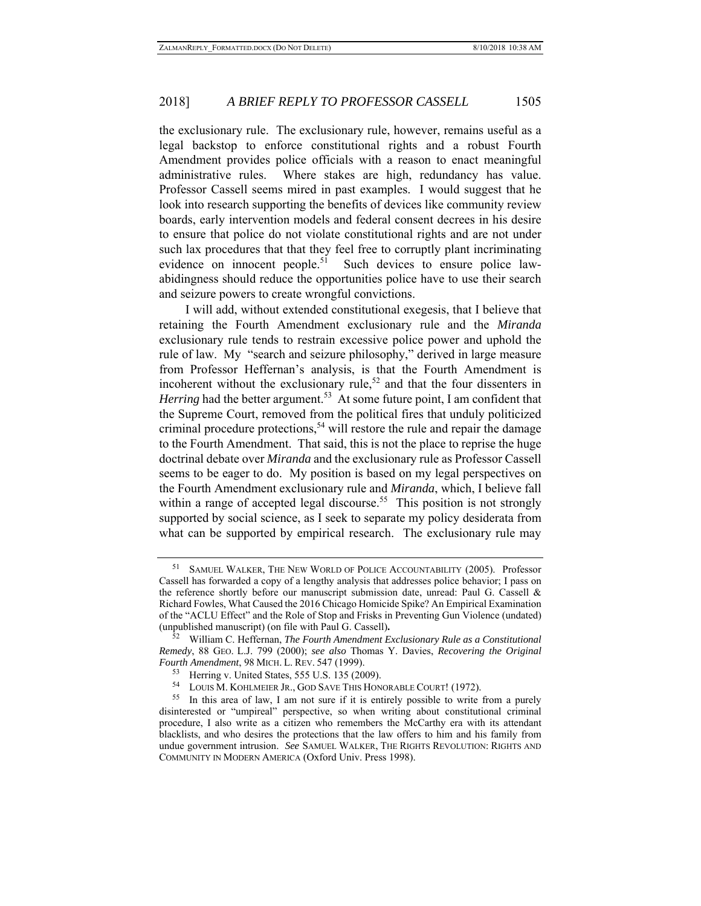the exclusionary rule. The exclusionary rule, however, remains useful as a legal backstop to enforce constitutional rights and a robust Fourth Amendment provides police officials with a reason to enact meaningful administrative rules. Where stakes are high, redundancy has value. Professor Cassell seems mired in past examples. I would suggest that he look into research supporting the benefits of devices like community review boards, early intervention models and federal consent decrees in his desire to ensure that police do not violate constitutional rights and are not under such lax procedures that that they feel free to corruptly plant incriminating evidence on innocent people.<sup>51</sup> Such devices to ensure police lawabidingness should reduce the opportunities police have to use their search and seizure powers to create wrongful convictions.

I will add, without extended constitutional exegesis, that I believe that retaining the Fourth Amendment exclusionary rule and the *Miranda* exclusionary rule tends to restrain excessive police power and uphold the rule of law. My "search and seizure philosophy," derived in large measure from Professor Heffernan's analysis, is that the Fourth Amendment is incoherent without the exclusionary rule,<sup>52</sup> and that the four dissenters in *Herring* had the better argument.<sup>53</sup> At some future point, I am confident that the Supreme Court, removed from the political fires that unduly politicized criminal procedure protections,<sup>54</sup> will restore the rule and repair the damage to the Fourth Amendment. That said, this is not the place to reprise the huge doctrinal debate over *Miranda* and the exclusionary rule as Professor Cassell seems to be eager to do. My position is based on my legal perspectives on the Fourth Amendment exclusionary rule and *Miranda*, which, I believe fall within a range of accepted legal discourse.<sup>55</sup> This position is not strongly supported by social science, as I seek to separate my policy desiderata from what can be supported by empirical research. The exclusionary rule may

SAMUEL WALKER, THE NEW WORLD OF POLICE ACCOUNTABILITY (2005). Professor Cassell has forwarded a copy of a lengthy analysis that addresses police behavior; I pass on the reference shortly before our manuscript submission date, unread: Paul G. Cassell & Richard Fowles, What Caused the 2016 Chicago Homicide Spike? An Empirical Examination of the "ACLU Effect" and the Role of Stop and Frisks in Preventing Gun Violence (undated) (unpublished manuscript) (on file with Paul G. Cassell)**.**

<sup>52</sup> William C. Heffernan, *The Fourth Amendment Exclusionary Rule as a Constitutional Remedy*, 88 GEO. L.J. 799 (2000); *see also* Thomas Y. Davies, *Recovering the Original Fourth Amendment*, 98 MICH. L. REV. 547 (1999).

<sup>&</sup>lt;sup>53</sup> Herring v. United States, 555 U.S. 135 (2009).<br><sup>54</sup> LOUIS M. KOHLMEIER JR., GOD SAVE THIS HONORABLE COURT! (1972).

<sup>55</sup> In this area of law, I am not sure if it is entirely possible to write from a purely disinterested or "umpireal" perspective, so when writing about constitutional criminal procedure, I also write as a citizen who remembers the McCarthy era with its attendant blacklists, and who desires the protections that the law offers to him and his family from undue government intrusion. *See* SAMUEL WALKER, THE RIGHTS REVOLUTION: RIGHTS AND COMMUNITY IN MODERN AMERICA (Oxford Univ. Press 1998).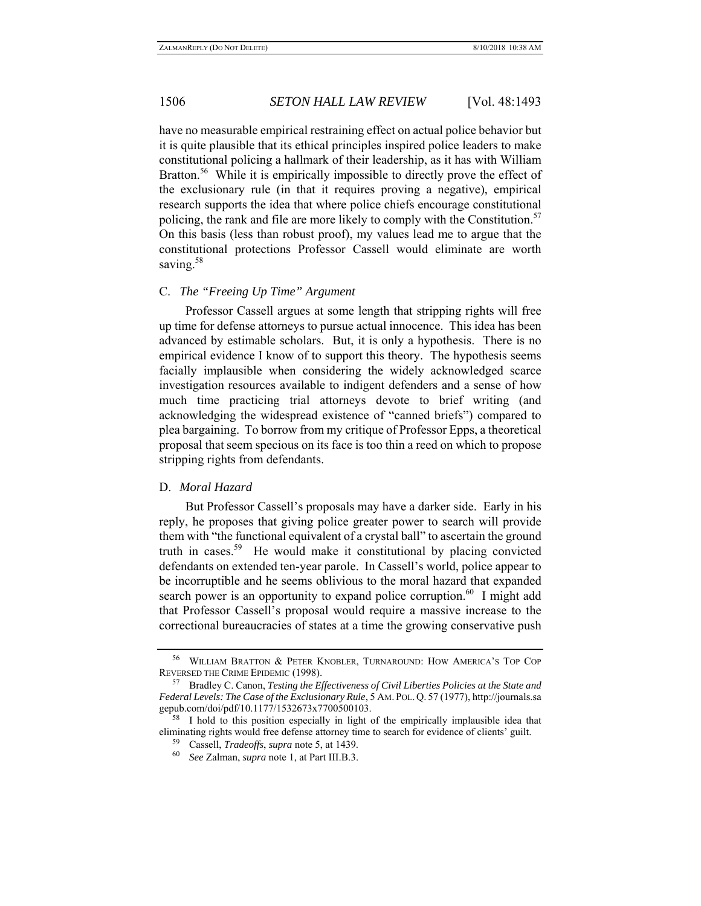have no measurable empirical restraining effect on actual police behavior but it is quite plausible that its ethical principles inspired police leaders to make constitutional policing a hallmark of their leadership, as it has with William Bratton.<sup>56</sup> While it is empirically impossible to directly prove the effect of the exclusionary rule (in that it requires proving a negative), empirical research supports the idea that where police chiefs encourage constitutional policing, the rank and file are more likely to comply with the Constitution.<sup>57</sup> On this basis (less than robust proof), my values lead me to argue that the constitutional protections Professor Cassell would eliminate are worth saving.<sup>58</sup>

## C. *The "Freeing Up Time" Argument*

Professor Cassell argues at some length that stripping rights will free up time for defense attorneys to pursue actual innocence. This idea has been advanced by estimable scholars. But, it is only a hypothesis. There is no empirical evidence I know of to support this theory. The hypothesis seems facially implausible when considering the widely acknowledged scarce investigation resources available to indigent defenders and a sense of how much time practicing trial attorneys devote to brief writing (and acknowledging the widespread existence of "canned briefs") compared to plea bargaining. To borrow from my critique of Professor Epps, a theoretical proposal that seem specious on its face is too thin a reed on which to propose stripping rights from defendants.

### D. *Moral Hazard*

But Professor Cassell's proposals may have a darker side. Early in his reply, he proposes that giving police greater power to search will provide them with "the functional equivalent of a crystal ball" to ascertain the ground truth in cases.<sup>59</sup> He would make it constitutional by placing convicted defendants on extended ten-year parole. In Cassell's world, police appear to be incorruptible and he seems oblivious to the moral hazard that expanded search power is an opportunity to expand police corruption.<sup>60</sup> I might add that Professor Cassell's proposal would require a massive increase to the correctional bureaucracies of states at a time the growing conservative push

<sup>56</sup> WILLIAM BRATTON & PETER KNOBLER, TURNAROUND: HOW AMERICA'S TOP COP REVERSED THE CRIME EPIDEMIC (1998). 57 Bradley C. Canon, *Testing the Effectiveness of Civil Liberties Policies at the State and* 

*Federal Levels: The Case of the Exclusionary Rule*, 5 AM. POL. Q. 57 (1977), http://journals.sa gepub.com/doi/pdf/10.1177/1532673x7700500103.

I hold to this position especially in light of the empirically implausible idea that eliminating rights would free defense attorney time to search for evidence of clients' guilt.

Cassell, *Tradeoffs*, *supra* note 5, at 1439.

<sup>60</sup> *See* Zalman, *supra* note 1, at Part III.B.3.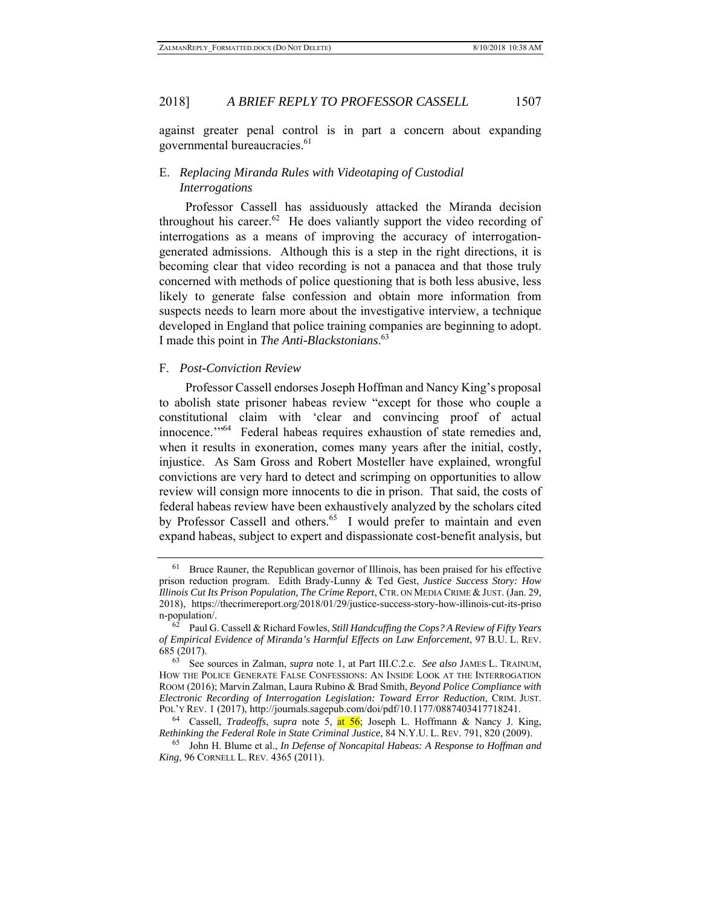against greater penal control is in part a concern about expanding governmental bureaucracies.<sup>61</sup>

## E. *Replacing Miranda Rules with Videotaping of Custodial Interrogations*

Professor Cassell has assiduously attacked the Miranda decision throughout his career.<sup>62</sup> He does valiantly support the video recording of interrogations as a means of improving the accuracy of interrogationgenerated admissions. Although this is a step in the right directions, it is becoming clear that video recording is not a panacea and that those truly concerned with methods of police questioning that is both less abusive, less likely to generate false confession and obtain more information from suspects needs to learn more about the investigative interview, a technique developed in England that police training companies are beginning to adopt. I made this point in *The Anti-Blackstonians*. 63

#### F. *Post-Conviction Review*

Professor Cassell endorses Joseph Hoffman and Nancy King's proposal to abolish state prisoner habeas review "except for those who couple a constitutional claim with 'clear and convincing proof of actual innocence.'"<sup>64</sup> Federal habeas requires exhaustion of state remedies and, when it results in exoneration, comes many years after the initial, costly, injustice. As Sam Gross and Robert Mosteller have explained, wrongful convictions are very hard to detect and scrimping on opportunities to allow review will consign more innocents to die in prison. That said, the costs of federal habeas review have been exhaustively analyzed by the scholars cited by Professor Cassell and others.<sup>65</sup> I would prefer to maintain and even expand habeas, subject to expert and dispassionate cost-benefit analysis, but

<sup>61</sup> Bruce Rauner, the Republican governor of Illinois, has been praised for his effective prison reduction program. Edith Brady-Lunny & Ted Gest, *Justice Success Story: How Illinois Cut Its Prison Population, The Crime Report*, CTR. ON MEDIA CRIME & JUST. (Jan. 29, 2018), https://thecrimereport.org/2018/01/29/justice-success-story-how-illinois-cut-its-priso n-population/.

<sup>62</sup> Paul G. Cassell & Richard Fowles, *Still Handcuffing the Cops? A Review of Fifty Years of Empirical Evidence of Miranda's Harmful Effects on Law Enforcement*, 97 B.U. L. REV. 685 (2017).

<sup>63</sup> See sources in Zalman, *supra* note 1, at Part III.C.2.c. *See also* JAMES L. TRAINUM, HOW THE POLICE GENERATE FALSE CONFESSIONS: AN INSIDE LOOK AT THE INTERROGATION ROOM (2016); Marvin Zalman, Laura Rubino & Brad Smith, *Beyond Police Compliance with Electronic Recording of Interrogation Legislation: Toward Error Reduction*, CRIM. JUST. POL'Y REV. 1 (2017), http://journals.sagepub.com/doi/pdf/10.1177/0887403417718241.

<sup>64</sup> Cassell, *Tradeoffs*, *supra* note 5, at 56; Joseph L. Hoffmann & Nancy J. King, *Rethinking the Federal Role in State Criminal Justice*, 84 N.Y.U. L. REV. 791, 820 (2009).

<sup>65</sup> John H. Blume et al., *In Defense of Noncapital Habeas: A Response to Hoffman and King*, 96 CORNELL L. REV. 4365 (2011).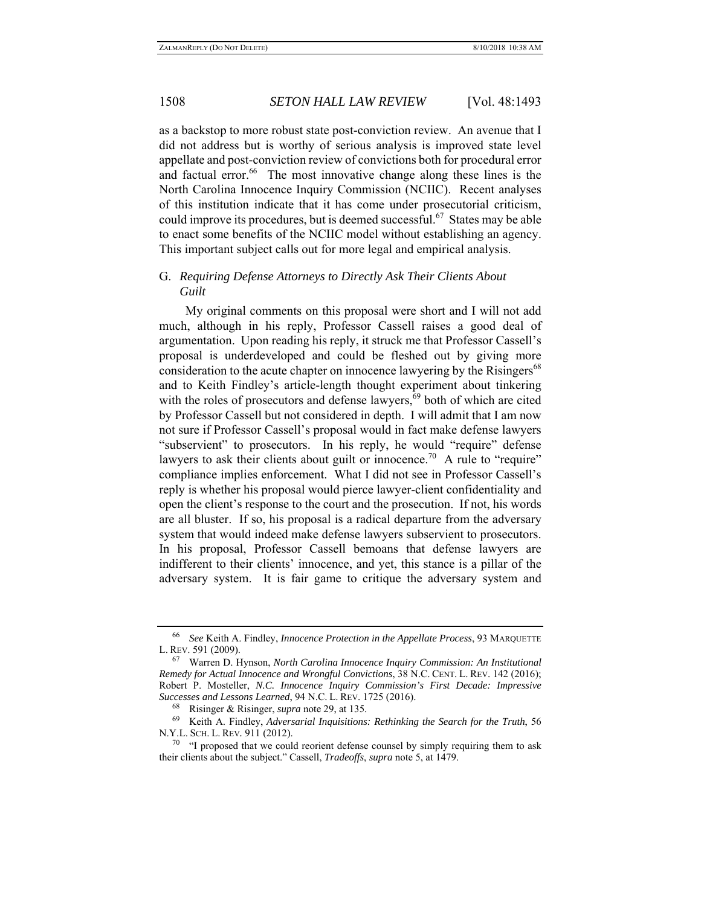as a backstop to more robust state post-conviction review. An avenue that I did not address but is worthy of serious analysis is improved state level appellate and post-conviction review of convictions both for procedural error and factual error. $66$  The most innovative change along these lines is the North Carolina Innocence Inquiry Commission (NCIIC). Recent analyses of this institution indicate that it has come under prosecutorial criticism, could improve its procedures, but is deemed successful.<sup>67</sup> States may be able to enact some benefits of the NCIIC model without establishing an agency. This important subject calls out for more legal and empirical analysis.

## G. *Requiring Defense Attorneys to Directly Ask Their Clients About Guilt*

My original comments on this proposal were short and I will not add much, although in his reply, Professor Cassell raises a good deal of argumentation. Upon reading his reply, it struck me that Professor Cassell's proposal is underdeveloped and could be fleshed out by giving more consideration to the acute chapter on innocence lawyering by the Risingers<sup>68</sup> and to Keith Findley's article-length thought experiment about tinkering with the roles of prosecutors and defense lawyers, $69$  both of which are cited by Professor Cassell but not considered in depth. I will admit that I am now not sure if Professor Cassell's proposal would in fact make defense lawyers "subservient" to prosecutors. In his reply, he would "require" defense lawyers to ask their clients about guilt or innocence.<sup>70</sup> A rule to "require" compliance implies enforcement. What I did not see in Professor Cassell's reply is whether his proposal would pierce lawyer-client confidentiality and open the client's response to the court and the prosecution. If not, his words are all bluster. If so, his proposal is a radical departure from the adversary system that would indeed make defense lawyers subservient to prosecutors. In his proposal, Professor Cassell bemoans that defense lawyers are indifferent to their clients' innocence, and yet, this stance is a pillar of the adversary system. It is fair game to critique the adversary system and

<sup>66</sup> *See* Keith A. Findley, *Innocence Protection in the Appellate Process*, 93 MARQUETTE L. REV. 591 (2009).

<sup>67</sup> Warren D. Hynson, *North Carolina Innocence Inquiry Commission: An Institutional Remedy for Actual Innocence and Wrongful Convictions*, 38 N.C. CENT. L. REV. 142 (2016); Robert P. Mosteller, *N.C. Innocence Inquiry Commission's First Decade: Impressive Successes and Lessons Learned*, 94 N.C. L. REV. 1725 (2016).

<sup>68</sup> Risinger & Risinger, *supra* note 29, at 135.

<sup>69</sup> Keith A. Findley, *Adversarial Inquisitions: Rethinking the Search for the Truth*, 56 N.Y.L. SCH. L. REV*.* 911 (2012).

 $70$  "I proposed that we could reorient defense counsel by simply requiring them to ask their clients about the subject." Cassell, *Tradeoffs*, *supra* note 5, at 1479.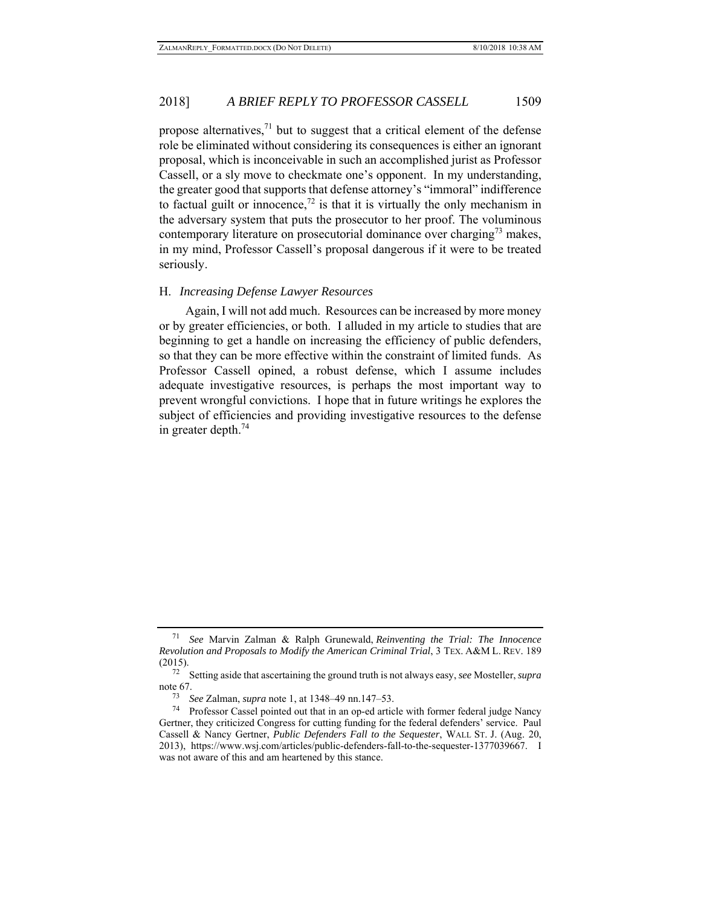propose alternatives, $^{71}$  but to suggest that a critical element of the defense role be eliminated without considering its consequences is either an ignorant proposal, which is inconceivable in such an accomplished jurist as Professor Cassell, or a sly move to checkmate one's opponent. In my understanding, the greater good that supports that defense attorney's "immoral" indifference to factual guilt or innocence,<sup>72</sup> is that it is virtually the only mechanism in the adversary system that puts the prosecutor to her proof. The voluminous contemporary literature on prosecutorial dominance over charging<sup>73</sup> makes, in my mind, Professor Cassell's proposal dangerous if it were to be treated seriously.

#### H. *Increasing Defense Lawyer Resources*

Again, I will not add much. Resources can be increased by more money or by greater efficiencies, or both. I alluded in my article to studies that are beginning to get a handle on increasing the efficiency of public defenders, so that they can be more effective within the constraint of limited funds. As Professor Cassell opined, a robust defense, which I assume includes adequate investigative resources, is perhaps the most important way to prevent wrongful convictions. I hope that in future writings he explores the subject of efficiencies and providing investigative resources to the defense in greater depth. $74$ 

<sup>71</sup> *See* Marvin Zalman & Ralph Grunewald, *Reinventing the Trial: The Innocence Revolution and Proposals to Modify the American Criminal Trial*, 3 TEX. A&M L. REV. 189 (2015).

<sup>72</sup> Setting aside that ascertaining the ground truth is not always easy, *see* Mosteller, *supra* note 67.

<sup>73</sup> *See* Zalman, *supra* note 1, at 1348–49 nn.147–53.

<sup>74</sup> Professor Cassel pointed out that in an op-ed article with former federal judge Nancy Gertner, they criticized Congress for cutting funding for the federal defenders' service. Paul Cassell & Nancy Gertner, *Public Defenders Fall to the Sequester*, WALL ST. J. (Aug. 20, 2013), https://www.wsj.com/articles/public-defenders-fall-to-the-sequester-1377039667. I was not aware of this and am heartened by this stance.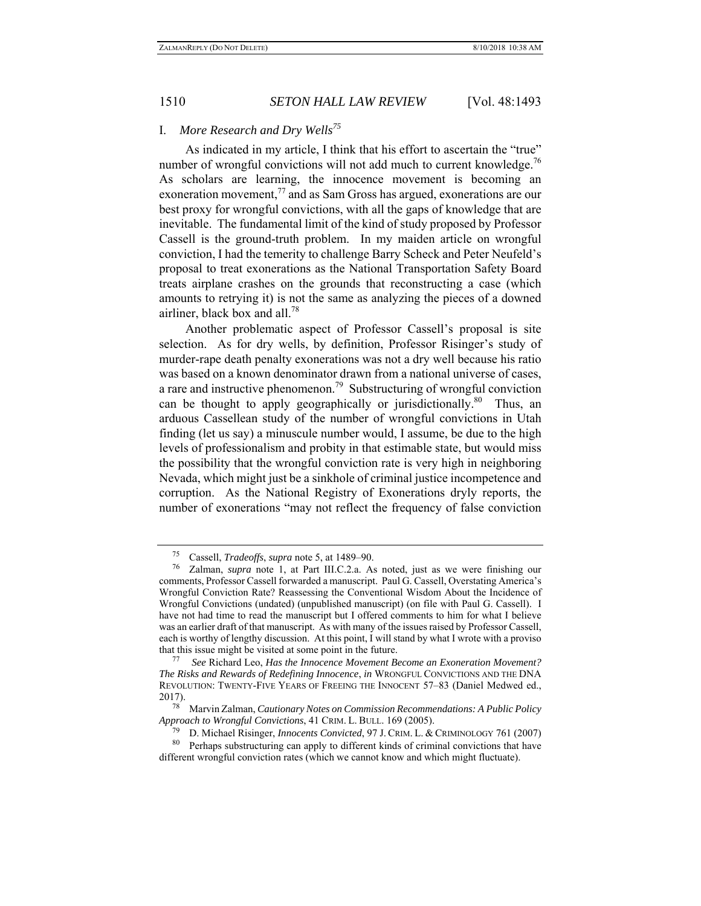## I. *More Research and Dry Wells<sup>75</sup>*

As indicated in my article, I think that his effort to ascertain the "true" number of wrongful convictions will not add much to current knowledge.<sup>76</sup> As scholars are learning, the innocence movement is becoming an exoneration movement, $^{77}$  and as Sam Gross has argued, exonerations are our best proxy for wrongful convictions, with all the gaps of knowledge that are inevitable. The fundamental limit of the kind of study proposed by Professor Cassell is the ground-truth problem. In my maiden article on wrongful conviction, I had the temerity to challenge Barry Scheck and Peter Neufeld's proposal to treat exonerations as the National Transportation Safety Board treats airplane crashes on the grounds that reconstructing a case (which amounts to retrying it) is not the same as analyzing the pieces of a downed airliner, black box and all.78

Another problematic aspect of Professor Cassell's proposal is site selection. As for dry wells, by definition, Professor Risinger's study of murder-rape death penalty exonerations was not a dry well because his ratio was based on a known denominator drawn from a national universe of cases, a rare and instructive phenomenon.<sup>79</sup> Substructuring of wrongful conviction can be thought to apply geographically or jurisdictionally.<sup>80</sup> Thus, an arduous Cassellean study of the number of wrongful convictions in Utah finding (let us say) a minuscule number would, I assume, be due to the high levels of professionalism and probity in that estimable state, but would miss the possibility that the wrongful conviction rate is very high in neighboring Nevada, which might just be a sinkhole of criminal justice incompetence and corruption. As the National Registry of Exonerations dryly reports, the number of exonerations "may not reflect the frequency of false conviction

<sup>75</sup> Cassell, *Tradeoffs*, *supra* note 5, at 1489–90.

Zalman, *supra* note 1, at Part III.C.2.a. As noted, just as we were finishing our comments, Professor Cassell forwarded a manuscript. Paul G. Cassell, Overstating America's Wrongful Conviction Rate? Reassessing the Conventional Wisdom About the Incidence of Wrongful Convictions (undated) (unpublished manuscript) (on file with Paul G. Cassell). I have not had time to read the manuscript but I offered comments to him for what I believe was an earlier draft of that manuscript. As with many of the issues raised by Professor Cassell, each is worthy of lengthy discussion. At this point, I will stand by what I wrote with a proviso that this issue might be visited at some point in the future. 77 *See* Richard Leo, *Has the Innocence Movement Become an Exoneration Movement?* 

*The Risks and Rewards of Redefining Innocence*, *in* WRONGFUL CONVICTIONS AND THE DNA REVOLUTION: TWENTY-FIVE YEARS OF FREEING THE INNOCENT 57–83 (Daniel Medwed ed., 2017).

<sup>78</sup> Marvin Zalman, *Cautionary Notes on Commission Recommendations: A Public Policy Approach to Wrongful Convictions*, 41 CRIM. L. BULL. 169 (2005).

<sup>79</sup> D. Michael Risinger, *Innocents Convicted*, 97 J. CRIM. L. & CRIMINOLOGY 761 (2007)

<sup>&</sup>lt;sup>80</sup> Perhaps substructuring can apply to different kinds of criminal convictions that have different wrongful conviction rates (which we cannot know and which might fluctuate).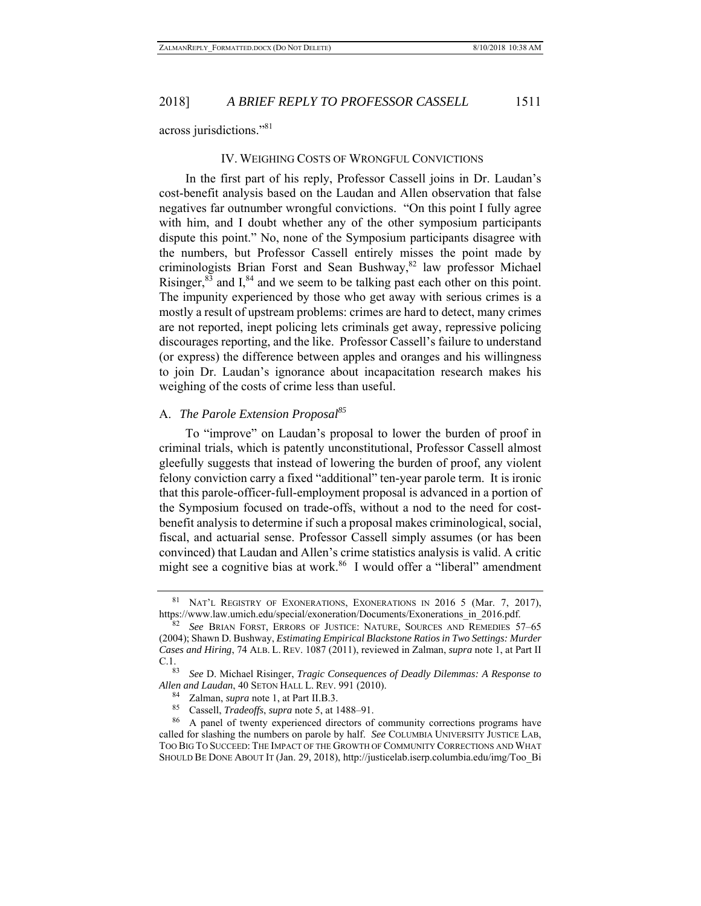across jurisdictions."81

#### IV. WEIGHING COSTS OF WRONGFUL CONVICTIONS

In the first part of his reply, Professor Cassell joins in Dr. Laudan's cost-benefit analysis based on the Laudan and Allen observation that false negatives far outnumber wrongful convictions. "On this point I fully agree with him, and I doubt whether any of the other symposium participants dispute this point." No, none of the Symposium participants disagree with the numbers, but Professor Cassell entirely misses the point made by criminologists Brian Forst and Sean Bushway, $82$  law professor Michael Risinger,  $83$  and I,  $84$  and we seem to be talking past each other on this point. The impunity experienced by those who get away with serious crimes is a mostly a result of upstream problems: crimes are hard to detect, many crimes are not reported, inept policing lets criminals get away, repressive policing discourages reporting, and the like. Professor Cassell's failure to understand (or express) the difference between apples and oranges and his willingness to join Dr. Laudan's ignorance about incapacitation research makes his weighing of the costs of crime less than useful.

## A. *The Parole Extension Proposal85*

To "improve" on Laudan's proposal to lower the burden of proof in criminal trials, which is patently unconstitutional, Professor Cassell almost gleefully suggests that instead of lowering the burden of proof, any violent felony conviction carry a fixed "additional" ten-year parole term. It is ironic that this parole-officer-full-employment proposal is advanced in a portion of the Symposium focused on trade-offs, without a nod to the need for costbenefit analysis to determine if such a proposal makes criminological, social, fiscal, and actuarial sense. Professor Cassell simply assumes (or has been convinced) that Laudan and Allen's crime statistics analysis is valid. A critic might see a cognitive bias at work.<sup>86</sup> I would offer a "liberal" amendment

<sup>&</sup>lt;sup>81</sup> NAT'L REGISTRY OF EXONERATIONS, EXONERATIONS IN 2016 5 (Mar. 7, 2017), https://www.law.umich.edu/special/exoneration/Documents/Exonerations\_in\_2016.pdf.

<sup>82</sup> *See* BRIAN FORST, ERRORS OF JUSTICE: NATURE, SOURCES AND REMEDIES 57–65 (2004); Shawn D. Bushway, *Estimating Empirical Blackstone Ratios in Two Settings: Murder Cases and Hiring*, 74 ALB. L. REV. 1087 (2011), reviewed in Zalman, *supra* note 1, at Part II C.1.

<sup>83</sup> *See* D. Michael Risinger, *Tragic Consequences of Deadly Dilemmas: A Response to Allen and Laudan*, 40 SETON HALL L. REV. 991 (2010).

<sup>84</sup> Zalman, *supra* note 1, at Part II.B.3.

<sup>85</sup> Cassell, *Tradeoffs*, *supra* note 5, at 1488–91.

<sup>86</sup> A panel of twenty experienced directors of community corrections programs have called for slashing the numbers on parole by half. *See* COLUMBIA UNIVERSITY JUSTICE LAB, TOO BIG TO SUCCEED: THE IMPACT OF THE GROWTH OF COMMUNITY CORRECTIONS AND WHAT SHOULD BE DONE ABOUT IT (Jan. 29, 2018), http://justicelab.iserp.columbia.edu/img/Too\_Bi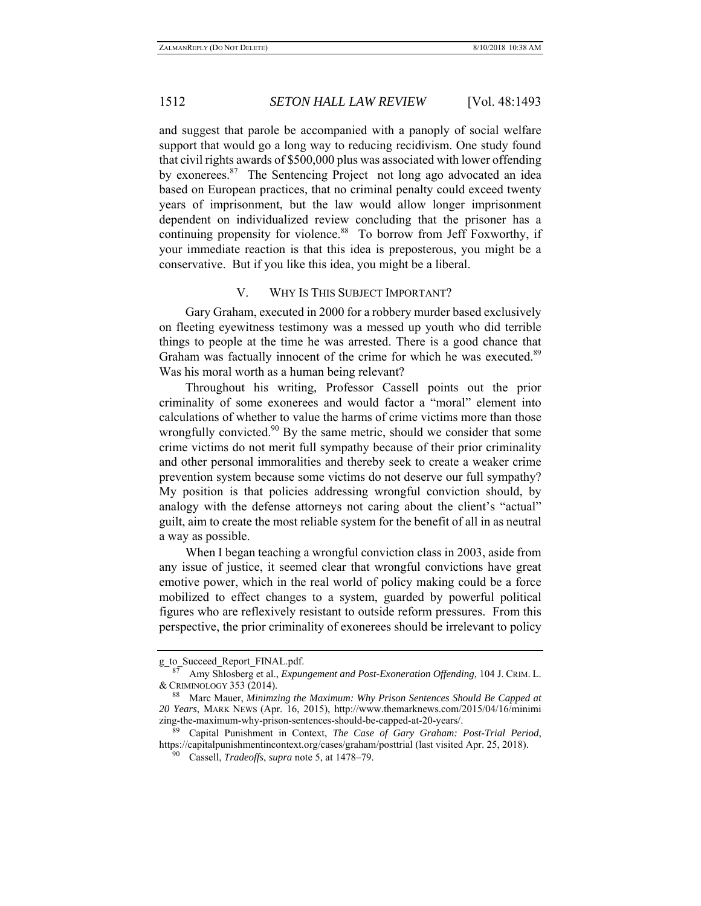and suggest that parole be accompanied with a panoply of social welfare support that would go a long way to reducing recidivism. One study found that civil rights awards of \$500,000 plus was associated with lower offending by exonerees.<sup>87</sup> The Sentencing Project not long ago advocated an idea based on European practices, that no criminal penalty could exceed twenty years of imprisonment, but the law would allow longer imprisonment dependent on individualized review concluding that the prisoner has a continuing propensity for violence.<sup>88</sup> To borrow from Jeff Foxworthy, if your immediate reaction is that this idea is preposterous, you might be a conservative. But if you like this idea, you might be a liberal.

### V. WHY IS THIS SUBJECT IMPORTANT?

Gary Graham, executed in 2000 for a robbery murder based exclusively on fleeting eyewitness testimony was a messed up youth who did terrible things to people at the time he was arrested. There is a good chance that Graham was factually innocent of the crime for which he was executed.<sup>89</sup> Was his moral worth as a human being relevant?

Throughout his writing, Professor Cassell points out the prior criminality of some exonerees and would factor a "moral" element into calculations of whether to value the harms of crime victims more than those wrongfully convicted.<sup>90</sup> By the same metric, should we consider that some crime victims do not merit full sympathy because of their prior criminality and other personal immoralities and thereby seek to create a weaker crime prevention system because some victims do not deserve our full sympathy? My position is that policies addressing wrongful conviction should, by analogy with the defense attorneys not caring about the client's "actual" guilt, aim to create the most reliable system for the benefit of all in as neutral a way as possible.

When I began teaching a wrongful conviction class in 2003, aside from any issue of justice, it seemed clear that wrongful convictions have great emotive power, which in the real world of policy making could be a force mobilized to effect changes to a system, guarded by powerful political figures who are reflexively resistant to outside reform pressures. From this perspective, the prior criminality of exonerees should be irrelevant to policy

g\_to\_Succeed\_Report\_FINAL.pdf.

<sup>87</sup> Amy Shlosberg et al., *Expungement and Post-Exoneration Offending*, 104 J. CRIM. L. & CRIMINOLOGY 353 (2014).

<sup>88</sup> Marc Mauer, *Minimzing the Maximum: Why Prison Sentences Should Be Capped at 20 Years*, MARK NEWS (Apr. 16, 2015), http://www.themarknews.com/2015/04/16/minimi zing-the-maximum-why-prison-sentences-should-be-capped-at-20-years/.

<sup>89</sup> Capital Punishment in Context, *The Case of Gary Graham: Post-Trial Period*, https://capitalpunishmentincontext.org/cases/graham/posttrial (last visited Apr. 25, 2018).

<sup>90</sup> Cassell, *Tradeoffs*, *supra* note 5, at 1478–79.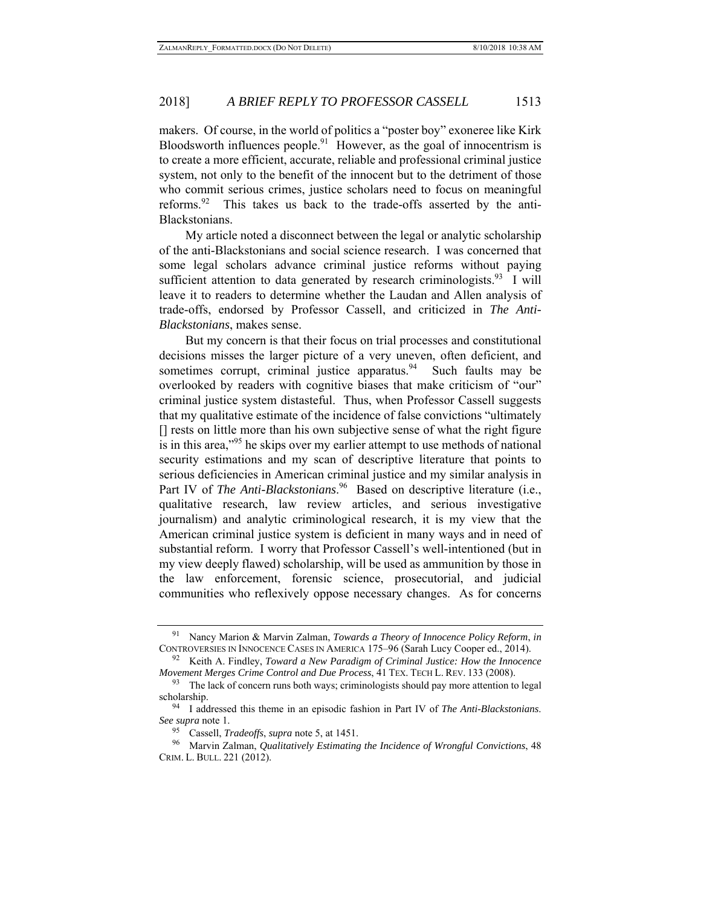makers. Of course, in the world of politics a "poster boy" exoneree like Kirk Bloodsworth influences people. $91$  However, as the goal of innocentrism is to create a more efficient, accurate, reliable and professional criminal justice system, not only to the benefit of the innocent but to the detriment of those who commit serious crimes, justice scholars need to focus on meaningful reforms. <sup>92</sup> This takes us back to the trade-offs asserted by the anti-Blackstonians.

My article noted a disconnect between the legal or analytic scholarship of the anti-Blackstonians and social science research. I was concerned that some legal scholars advance criminal justice reforms without paying sufficient attention to data generated by research criminologists.<sup>93</sup> I will leave it to readers to determine whether the Laudan and Allen analysis of trade-offs, endorsed by Professor Cassell, and criticized in *The Anti-Blackstonians*, makes sense.

But my concern is that their focus on trial processes and constitutional decisions misses the larger picture of a very uneven, often deficient, and sometimes corrupt, criminal justice apparatus.<sup>94</sup> Such faults may be overlooked by readers with cognitive biases that make criticism of "our" criminal justice system distasteful. Thus, when Professor Cassell suggests that my qualitative estimate of the incidence of false convictions "ultimately [] rests on little more than his own subjective sense of what the right figure is in this area,<sup>"95</sup> he skips over my earlier attempt to use methods of national security estimations and my scan of descriptive literature that points to serious deficiencies in American criminal justice and my similar analysis in Part IV of *The Anti-Blackstonians*.<sup>96</sup> Based on descriptive literature (i.e., qualitative research, law review articles, and serious investigative journalism) and analytic criminological research, it is my view that the American criminal justice system is deficient in many ways and in need of substantial reform. I worry that Professor Cassell's well-intentioned (but in my view deeply flawed) scholarship, will be used as ammunition by those in the law enforcement, forensic science, prosecutorial, and judicial communities who reflexively oppose necessary changes. As for concerns

<sup>91</sup> Nancy Marion & Marvin Zalman, *Towards a Theory of Innocence Policy Reform*, *in* CONTROVERSIES IN INNOCENCE CASES IN AMERICA 175–96 (Sarah Lucy Cooper ed., 2014).

<sup>92</sup> Keith A. Findley, *Toward a New Paradigm of Criminal Justice: How the Innocence Movement Merges Crime Control and Due Process*, 41 TEX. TECH L. REV. 133 (2008).

<sup>&</sup>lt;sup>93</sup> The lack of concern runs both ways; criminologists should pay more attention to legal scholarship.

<sup>94</sup> I addressed this theme in an episodic fashion in Part IV of *The Anti-Blackstonians*. *See supra* note 1.

<sup>95</sup> Cassell, *Tradeoffs*, *supra* note 5, at 1451.

<sup>96</sup> Marvin Zalman, *Qualitatively Estimating the Incidence of Wrongful Convictions*, 48 CRIM. L. BULL. 221 (2012).